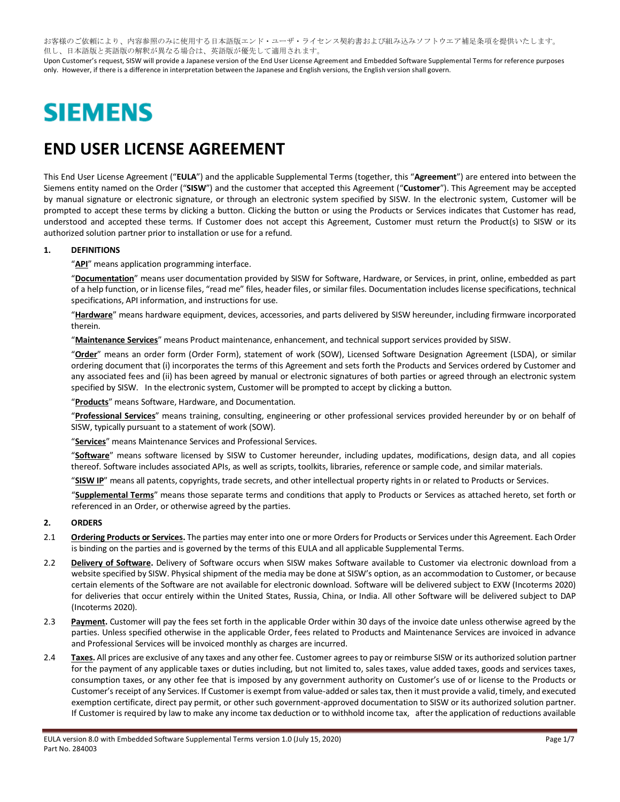お客様のご依頼により、内容参照のみに使用する日本語版エンド・ユーザ・ライセンス契約書および組み込みソフトウエア補足条項を提供いたします。 但し、日本語版と英語版の解釈が異なる場合は、英語版が優先して適用されます。

Upon Customer's request, SISW will provide a Japanese version of the End User License Agreement and Embedded Software Supplemental Terms for reference purposes only. However, if there is a difference in interpretation between the Japanese and English versions, the English version shall govern.

# **SIEMENS**

## **END USER LICENSE AGREEMENT**

This End User License Agreement ("**EULA**") and the applicable Supplemental Terms (together, this "**Agreement**") are entered into between the Siemens entity named on the Order ("**SISW**") and the customer that accepted this Agreement ("**Customer**"). This Agreement may be accepted by manual signature or electronic signature, or through an electronic system specified by SISW. In the electronic system, Customer will be prompted to accept these terms by clicking a button. Clicking the button or using the Products or Services indicates that Customer has read, understood and accepted these terms. If Customer does not accept this Agreement, Customer must return the Product(s) to SISW or its authorized solution partner prior to installation or use for a refund.

#### **1. DEFINITIONS**

"**API**" means application programming interface.

"**Documentation**" means user documentation provided by SISW for Software, Hardware, or Services, in print, online, embedded as part of a help function, or in license files, "read me" files, header files, or similar files. Documentation includes license specifications, technical specifications, API information, and instructions for use.

"**Hardware**" means hardware equipment, devices, accessories, and parts delivered by SISW hereunder, including firmware incorporated therein.

"**Maintenance Services**" means Product maintenance, enhancement, and technical support services provided by SISW.

"**Order**" means an order form (Order Form), statement of work (SOW), Licensed Software Designation Agreement (LSDA), or similar ordering document that (i) incorporates the terms of this Agreement and sets forth the Products and Services ordered by Customer and any associated fees and (ii) has been agreed by manual or electronic signatures of both parties or agreed through an electronic system specified by SISW. In the electronic system, Customer will be prompted to accept by clicking a button.

"**Products**" means Software, Hardware, and Documentation.

"**Professional Services**" means training, consulting, engineering or other professional services provided hereunder by or on behalf of SISW, typically pursuant to a statement of work (SOW).

"**Services**" means Maintenance Services and Professional Services.

"**Software**" means software licensed by SISW to Customer hereunder, including updates, modifications, design data, and all copies thereof. Software includes associated APIs, as well as scripts, toolkits, libraries, reference or sample code, and similar materials.

"**SISW IP**" means all patents, copyrights, trade secrets, and other intellectual property rights in or related to Products or Services.

"**Supplemental Terms**" means those separate terms and conditions that apply to Products or Services as attached hereto, set forth or referenced in an Order, or otherwise agreed by the parties.

#### **2. ORDERS**

- 2.1 **Ordering Products or Services.** The parties may enter into one or more Orders for Products or Services under this Agreement. Each Order is binding on the parties and is governed by the terms of this EULA and all applicable Supplemental Terms.
- 2.2 **Delivery of Software.** Delivery of Software occurs when SISW makes Software available to Customer via electronic download from a website specified by SISW. Physical shipment of the media may be done at SISW's option, as an accommodation to Customer, or because certain elements of the Software are not available for electronic download. Software will be delivered subject to EXW (Incoterms 2020) for deliveries that occur entirely within the United States, Russia, China, or India. All other Software will be delivered subject to DAP (Incoterms 2020).
- 2.3 **Payment.** Customer will pay the fees set forth in the applicable Order within 30 days of the invoice date unless otherwise agreed by the parties. Unless specified otherwise in the applicable Order, fees related to Products and Maintenance Services are invoiced in advance and Professional Services will be invoiced monthly as charges are incurred.
- 2.4 Taxes. All prices are exclusive of any taxes and any other fee. Customer agrees to pay or reimburse SISW or its authorized solution partner for the payment of any applicable taxes or duties including, but not limited to, sales taxes, value added taxes, goods and services taxes, consumption taxes, or any other fee that is imposed by any government authority on Customer's use of or license to the Products or Customer'sreceipt of any Services. If Customer is exempt from value-added or sales tax, then it must provide a valid, timely, and executed exemption certificate, direct pay permit, or other such government-approved documentation to SISW or its authorized solution partner. If Customer is required by law to make any income tax deduction or to withhold income tax, after the application of reductions available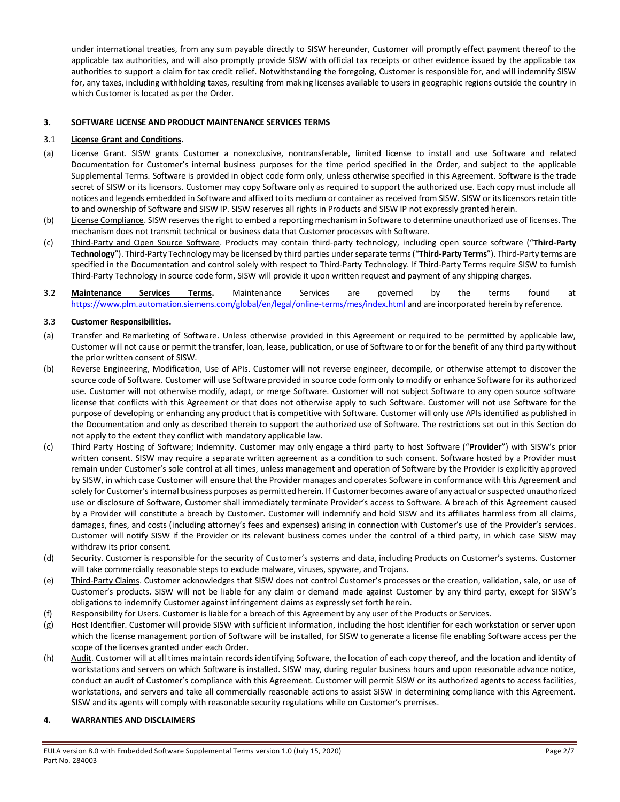under international treaties, from any sum payable directly to SISW hereunder, Customer will promptly effect payment thereof to the applicable tax authorities, and will also promptly provide SISW with official tax receipts or other evidence issued by the applicable tax authorities to support a claim for tax credit relief. Notwithstanding the foregoing, Customer is responsible for, and will indemnify SISW for, any taxes, including withholding taxes, resulting from making licenses available to users in geographic regions outside the country in which Customer is located as per the Order.

#### **3. SOFTWARE LICENSE AND PRODUCT MAINTENANCE SERVICES TERMS**

#### 3.1 **License Grant and Conditions.**

- (a) License Grant. SISW grants Customer a nonexclusive, nontransferable, limited license to install and use Software and related Documentation for Customer's internal business purposes for the time period specified in the Order, and subject to the applicable Supplemental Terms. Software is provided in object code form only, unless otherwise specified in this Agreement. Software is the trade secret of SISW or its licensors. Customer may copy Software only as required to support the authorized use. Each copy must include all notices and legends embedded in Software and affixed to its medium or container as received from SISW. SISW or its licensors retain title to and ownership of Software and SISW IP. SISW reserves all rights in Products and SISW IP not expressly granted herein.
- (b) License Compliance. SISW reserves the right to embed a reporting mechanism in Software to determine unauthorized use of licenses. The mechanism does not transmit technical or business data that Customer processes with Software.
- (c) Third-Party and Open Source Software. Products may contain third-party technology, including open source software ("**Third-Party Technology**"). Third-Party Technology may be licensed by third parties under separate terms("**Third-Party Terms**"). Third-Party terms are specified in the Documentation and control solely with respect to Third-Party Technology. If Third-Party Terms require SISW to furnish Third-Party Technology in source code form, SISW will provide it upon written request and payment of any shipping charges.
- 3.2 **Maintenance Services Terms.** Maintenance Services are governed by the terms found at <https://www.plm.automation.siemens.com/global/en/legal/online-terms/mes/index.html> and are incorporated herein by reference.

#### 3.3 **Customer Responsibilities.**

- (a) Transfer and Remarketing of Software. Unless otherwise provided in this Agreement or required to be permitted by applicable law, Customer will not cause or permit the transfer, loan, lease, publication, or use of Software to or for the benefit of any third party without the prior written consent of SISW.
- (b) Reverse Engineering, Modification, Use of APIs. Customer will not reverse engineer, decompile, or otherwise attempt to discover the source code of Software. Customer will use Software provided in source code form only to modify or enhance Software for its authorized use. Customer will not otherwise modify, adapt, or merge Software. Customer will not subject Software to any open source software license that conflicts with this Agreement or that does not otherwise apply to such Software. Customer will not use Software for the purpose of developing or enhancing any product that is competitive with Software. Customer will only use APIs identified as published in the Documentation and only as described therein to support the authorized use of Software. The restrictions set out in this Section do not apply to the extent they conflict with mandatory applicable law.
- (c) Third Party Hosting of Software; Indemnity. Customer may only engage a third party to host Software ("**Provider**") with SISW's prior written consent. SISW may require a separate written agreement as a condition to such consent. Software hosted by a Provider must remain under Customer's sole control at all times, unless management and operation of Software by the Provider is explicitly approved by SISW, in which case Customer will ensure that the Provider manages and operates Software in conformance with this Agreement and solely for Customer's internal business purposes as permitted herein. If Customer becomes aware of any actual or suspected unauthorized use or disclosure of Software, Customer shall immediately terminate Provider's access to Software. A breach of this Agreement caused by a Provider will constitute a breach by Customer. Customer will indemnify and hold SISW and its affiliates harmless from all claims, damages, fines, and costs (including attorney's fees and expenses) arising in connection with Customer's use of the Provider's services. Customer will notify SISW if the Provider or its relevant business comes under the control of a third party, in which case SISW may withdraw its prior consent.
- (d) Security. Customer is responsible for the security of Customer's systems and data, including Products on Customer's systems. Customer will take commercially reasonable steps to exclude malware, viruses, spyware, and Trojans.
- (e) Third-Party Claims. Customer acknowledges that SISW does not control Customer's processes or the creation, validation, sale, or use of Customer's products. SISW will not be liable for any claim or demand made against Customer by any third party, except for SISW's obligations to indemnify Customer against infringement claims as expressly set forth herein.
- (f) Responsibility for Users. Customer is liable for a breach of this Agreement by any user of the Products or Services.
- (g) Host Identifier. Customer will provide SISW with sufficient information, including the host identifier for each workstation or server upon which the license management portion of Software will be installed, for SISW to generate a license file enabling Software access per the scope of the licenses granted under each Order.
- (h) Audit. Customer will at all times maintain records identifying Software, the location of each copy thereof, and the location and identity of workstations and servers on which Software is installed. SISW may, during regular business hours and upon reasonable advance notice, conduct an audit of Customer's compliance with this Agreement. Customer will permit SISW or its authorized agents to access facilities, workstations, and servers and take all commercially reasonable actions to assist SISW in determining compliance with this Agreement. SISW and its agents will comply with reasonable security regulations while on Customer's premises.

#### **4. WARRANTIES AND DISCLAIMERS**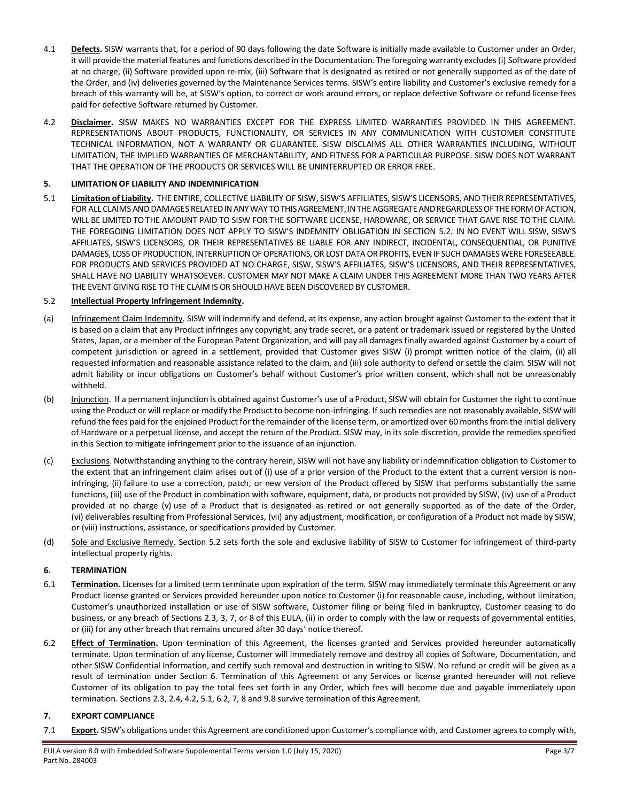- 4.1 **Defects.** SISW warrants that, for a period of 90 days following the date Software is initially made available to Customer under an Order, it will provide the material features and functions described in the Documentation. The foregoing warranty excludes (i) Software provided at no charge, (ii) Software provided upon re-mix, (iii) Software that is designated as retired or not generally supported as of the date of the Order, and (iv) deliveries governed by the Maintenance Services terms. SISW's entire liability and Customer's exclusive remedy for a breach of this warranty will be, at SISW's option, to correct or work around errors, or replace defective Software or refund license fees paid for defective Software returned by Customer.
- 4.2 **Disclaimer.** SISW MAKES NO WARRANTIES EXCEPT FOR THE EXPRESS LIMITED WARRANTIES PROVIDED IN THIS AGREEMENT. REPRESENTATIONS ABOUT PRODUCTS, FUNCTIONALITY, OR SERVICES IN ANY COMMUNICATION WITH CUSTOMER CONSTITUTE TECHNICAL INFORMATION, NOT A WARRANTY OR GUARANTEE. SISW DISCLAIMS ALL OTHER WARRANTIES INCLUDING, WITHOUT LIMITATION, THE IMPLIED WARRANTIES OF MERCHANTABILITY, AND FITNESS FOR A PARTICULAR PURPOSE. SISW DOES NOT WARRANT THAT THE OPERATION OF THE PRODUCTS OR SERVICES WILL BE UNINTERRUPTED OR ERROR FREE.

#### **5. LIMITATION OF LIABILITY AND INDEMNIFICATION**

5.1 **Limitation of Liability.** THE ENTIRE, COLLECTIVE LIABILITY OF SISW, SISW'S AFFILIATES, SISW'S LICENSORS, AND THEIR REPRESENTATIVES, FOR ALL CLAIMS AND DAMAGES RELATED IN ANY WAY TO THIS AGREEMENT, IN THE AGGREGATE AND REGARDLESS OF THE FORM OF ACTION, WILL BE LIMITED TO THE AMOUNT PAID TO SISW FOR THE SOFTWARE LICENSE, HARDWARE, OR SERVICE THAT GAVE RISE TO THE CLAIM. THE FOREGOING LIMITATION DOES NOT APPLY TO SISW'S INDEMNITY OBLIGATION IN SECTION 5.2. IN NO EVENT WILL SISW, SISW'S AFFILIATES, SISW'S LICENSORS, OR THEIR REPRESENTATIVES BE LIABLE FOR ANY INDIRECT, INCIDENTAL, CONSEQUENTIAL, OR PUNITIVE DAMAGES, LOSS OF PRODUCTION, INTERRUPTION OF OPERATIONS, OR LOST DATA OR PROFITS, EVEN IF SUCH DAMAGES WERE FORESEEABLE. FOR PRODUCTS AND SERVICES PROVIDED AT NO CHARGE, SISW, SISW'S AFFILIATES, SISW'S LICENSORS, AND THEIR REPRESENTATIVES, SHALL HAVE NO LIABILITY WHATSOEVER. CUSTOMER MAY NOT MAKE A CLAIM UNDER THIS AGREEMENT MORE THAN TWO YEARS AFTER THE EVENT GIVING RISE TO THE CLAIM IS OR SHOULD HAVE BEEN DISCOVERED BY CUSTOMER.

#### 5.2 **Intellectual Property Infringement Indemnity.**

- (a) Infringement Claim Indemnity. SISW will indemnify and defend, at its expense, any action brought against Customer to the extent that it is based on a claim that any Product infringes any copyright, any trade secret, or a patent or trademark issued or registered by the United States, Japan, or a member of the European Patent Organization, and will pay all damages finally awarded against Customer by a court of competent jurisdiction or agreed in a settlement, provided that Customer gives SISW (i) prompt written notice of the claim, (ii) all requested information and reasonable assistance related to the claim, and (iii) sole authority to defend or settle the claim. SISW will not admit liability or incur obligations on Customer's behalf without Customer's prior written consent, which shall not be unreasonably withheld.
- (b) Injunction. If a permanent injunction is obtained against Customer's use of a Product, SISW will obtain for Customer the right to continue using the Product or will replace or modify the Product to become non-infringing. If such remedies are not reasonably available, SISW will refund the fees paid for the enjoined Product for the remainder of the license term, or amortized over 60 months from the initial delivery of Hardware or a perpetual license, and accept the return of the Product. SISW may, in its sole discretion, provide the remedies specified in this Section to mitigate infringement prior to the issuance of an injunction.
- (c) Exclusions. Notwithstanding anything to the contrary herein, SISW will not have any liability or indemnification obligation to Customer to the extent that an infringement claim arises out of (i) use of a prior version of the Product to the extent that a current version is noninfringing, (ii) failure to use a correction, patch, or new version of the Product offered by SISW that performs substantially the same functions, (iii) use of the Product in combination with software, equipment, data, or products not provided by SISW, (iv) use of a Product provided at no charge (v) use of a Product that is designated as retired or not generally supported as of the date of the Order, (vi) deliverables resulting from Professional Services, (vii) any adjustment, modification, or configuration of a Product not made by SISW, or (viii) instructions, assistance, or specifications provided by Customer.
- (d) Sole and Exclusive Remedy. Section 5.2 sets forth the sole and exclusive liability of SISW to Customer for infringement of third-party intellectual property rights.

#### **6. TERMINATION**

- 6.1 **Termination.** Licenses for a limited term terminate upon expiration of the term. SISW may immediately terminate this Agreement or any Product license granted or Services provided hereunder upon notice to Customer (i) for reasonable cause, including, without limitation, Customer's unauthorized installation or use of SISW software, Customer filing or being filed in bankruptcy, Customer ceasing to do business, or any breach of Sections 2.3, 3, 7, or 8 of this EULA, (ii) in order to comply with the law or requests of governmental entities, or (iii) for any other breach that remains uncured after 30 days' notice thereof.
- 6.2 **Effect of Termination.** Upon termination of this Agreement, the licenses granted and Services provided hereunder automatically terminate. Upon termination of any license, Customer will immediately remove and destroy all copies of Software, Documentation, and other SISW Confidential Information, and certify such removal and destruction in writing to SISW. No refund or credit will be given as a result of termination under Section 6. Termination of this Agreement or any Services or license granted hereunder will not relieve Customer of its obligation to pay the total fees set forth in any Order, which fees will become due and payable immediately upon termination. Sections 2.3, 2.4, 4.2, 5.1, 6.2, 7, 8 and 9.8 survive termination of this Agreement.

#### **7. EXPORT COMPLIANCE**

7.1 **Export.** SISW's obligations under this Agreement are conditioned upon Customer's compliance with, and Customer agrees to comply with,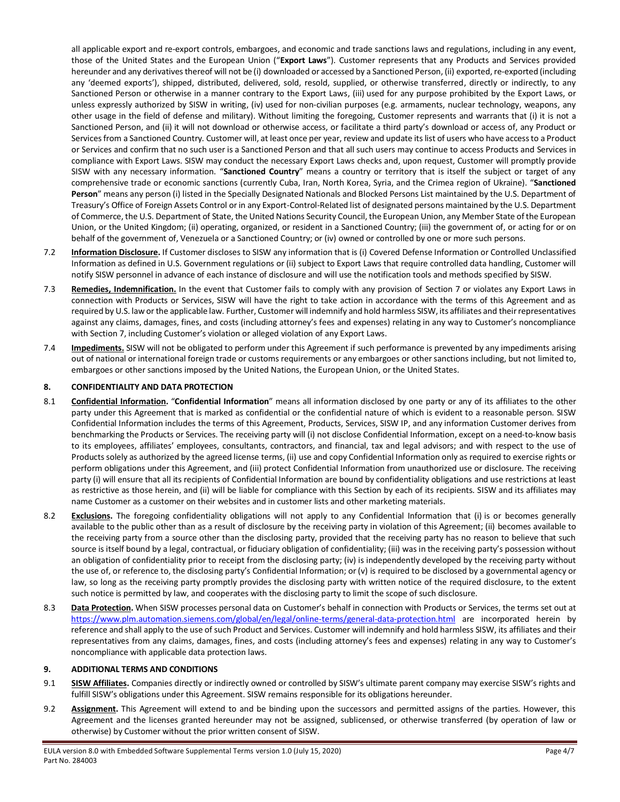all applicable export and re-export controls, embargoes, and economic and trade sanctions laws and regulations, including in any event, those of the United States and the European Union ("**Export Laws**"). Customer represents that any Products and Services provided hereunder and any derivatives thereof will not be (i) downloaded or accessed by a Sanctioned Person, (ii) exported, re-exported (including any 'deemed exports'), shipped, distributed, delivered, sold, resold, supplied, or otherwise transferred, directly or indirectly, to any Sanctioned Person or otherwise in a manner contrary to the Export Laws, (iii) used for any purpose prohibited by the Export Laws, or unless expressly authorized by SISW in writing, (iv) used for non-civilian purposes (e.g. armaments, nuclear technology, weapons, any other usage in the field of defense and military). Without limiting the foregoing, Customer represents and warrants that (i) it is not a Sanctioned Person, and (ii) it will not download or otherwise access, or facilitate a third party's download or access of, any Product or Servicesfrom a Sanctioned Country. Customer will, at least once per year, review and update its list of users who have access to a Product or Services and confirm that no such user is a Sanctioned Person and that all such users may continue to access Products and Services in compliance with Export Laws. SISW may conduct the necessary Export Laws checks and, upon request, Customer will promptly provide SISW with any necessary information. "**Sanctioned Country**" means a country or territory that is itself the subject or target of any comprehensive trade or economic sanctions (currently Cuba, Iran, North Korea, Syria, and the Crimea region of Ukraine). "**Sanctioned Person**" means any person (i) listed in the Specially Designated Nationals and Blocked Persons List maintained by the U.S. Department of Treasury's Office of Foreign Assets Control or in any Export-Control-Related list of designated persons maintained by the U.S. Department of Commerce, the U.S. Department of State, the United Nations Security Council, the European Union, any Member State of the European Union, or the United Kingdom; (ii) operating, organized, or resident in a Sanctioned Country; (iii) the government of, or acting for or on behalf of the government of, Venezuela or a Sanctioned Country; or (iv) owned or controlled by one or more such persons.

- 7.2 **Information Disclosure.** If Customer discloses to SISW any information that is (i) Covered Defense Information or Controlled Unclassified Information as defined in U.S. Government regulations or (ii) subject to Export Laws that require controlled data handling, Customer will notify SISW personnel in advance of each instance of disclosure and will use the notification tools and methods specified by SISW.
- 7.3 **Remedies, Indemnification.** In the event that Customer fails to comply with any provision of Section 7 or violates any Export Laws in connection with Products or Services, SISW will have the right to take action in accordance with the terms of this Agreement and as required by U.S. law or the applicable law. Further, Customer will indemnify and hold harmless SISW, its affiliates and theirrepresentatives against any claims, damages, fines, and costs (including attorney's fees and expenses) relating in any way to Customer's noncompliance with Section 7, including Customer's violation or alleged violation of any Export Laws.
- 7.4 **Impediments.** SISW will not be obligated to perform under this Agreement if such performance is prevented by any impediments arising out of national or international foreign trade or customs requirements or any embargoes or other sanctions including, but not limited to, embargoes or other sanctions imposed by the United Nations, the European Union, or the United States.

#### **8. CONFIDENTIALITY AND DATA PROTECTION**

- 8.1 **Confidential Information.** "**Confidential Information**" means all information disclosed by one party or any of its affiliates to the other party under this Agreement that is marked as confidential or the confidential nature of which is evident to a reasonable person. SISW Confidential Information includes the terms of this Agreement, Products, Services, SISW IP, and any information Customer derives from benchmarking the Products or Services. The receiving party will (i) not disclose Confidential Information, except on a need-to-know basis to its employees, affiliates' employees, consultants, contractors, and financial, tax and legal advisors; and with respect to the use of Products solely as authorized by the agreed license terms, (ii) use and copy Confidential Information only as required to exercise rights or perform obligations under this Agreement, and (iii) protect Confidential Information from unauthorized use or disclosure. The receiving party (i) will ensure that all its recipients of Confidential Information are bound by confidentiality obligations and use restrictions at least as restrictive as those herein, and (ii) will be liable for compliance with this Section by each of its recipients. SISW and its affiliates may name Customer as a customer on their websites and in customer lists and other marketing materials.
- 8.2 **Exclusions.** The foregoing confidentiality obligations will not apply to any Confidential Information that (i) is or becomes generally available to the public other than as a result of disclosure by the receiving party in violation of this Agreement; (ii) becomes available to the receiving party from a source other than the disclosing party, provided that the receiving party has no reason to believe that such source is itself bound by a legal, contractual, or fiduciary obligation of confidentiality; (iii) was in the receiving party's possession without an obligation of confidentiality prior to receipt from the disclosing party; (iv) is independently developed by the receiving party without the use of, or reference to, the disclosing party's Confidential Information; or (v) is required to be disclosed by a governmental agency or law, so long as the receiving party promptly provides the disclosing party with written notice of the required disclosure, to the extent such notice is permitted by law, and cooperates with the disclosing party to limit the scope of such disclosure.
- 8.3 **Data Protection**. When SISW processes personal data on Customer's behalf in connection with Products or Services, the terms set out at <https://www.plm.automation.siemens.com/global/en/legal/online-terms/general-data-protection.html> are incorporated herein by reference and shall apply to the use of such Product and Services. Customer will indemnify and hold harmless SISW, its affiliates and their representatives from any claims, damages, fines, and costs (including attorney's fees and expenses) relating in any way to Customer's noncompliance with applicable data protection laws.

#### **9. ADDITIONAL TERMS AND CONDITIONS**

- 9.1 **SISW Affiliates.** Companies directly or indirectly owned or controlled by SISW's ultimate parent company may exercise SISW's rights and fulfill SISW's obligations under this Agreement. SISW remains responsible for its obligations hereunder.
- 9.2 **Assignment.** This Agreement will extend to and be binding upon the successors and permitted assigns of the parties. However, this Agreement and the licenses granted hereunder may not be assigned, sublicensed, or otherwise transferred (by operation of law or otherwise) by Customer without the prior written consent of SISW.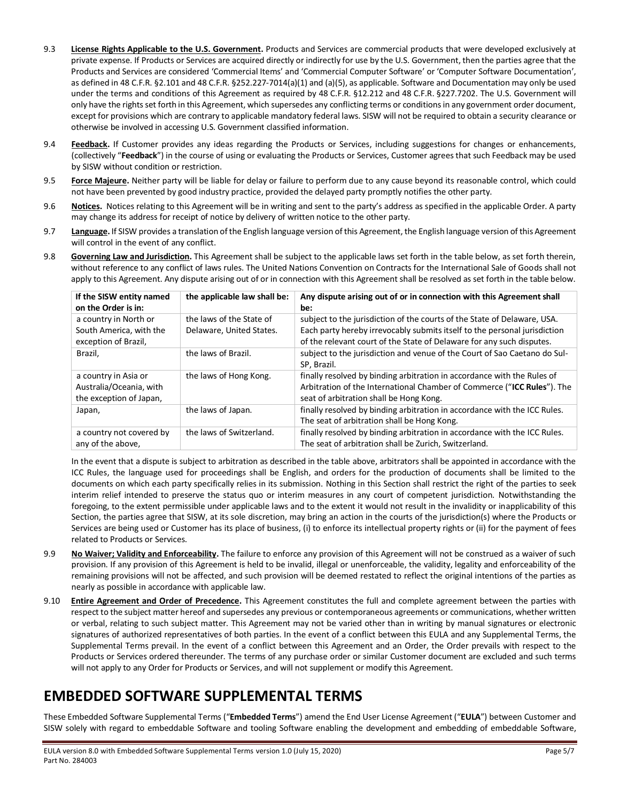- 9.3 **License Rights Applicable to the U.S. Government.** Products and Services are commercial products that were developed exclusively at private expense. If Products or Services are acquired directly or indirectly for use by the U.S. Government, then the parties agree that the Products and Services are considered 'Commercial Items' and 'Commercial Computer Software' or 'Computer Software Documentation', as defined in 48 C.F.R. §2.101 and 48 C.F.R. §252.227-7014(a)(1) and (a)(5), as applicable. Software and Documentation may only be used under the terms and conditions of this Agreement as required by 48 C.F.R. §12.212 and 48 C.F.R. §227.7202. The U.S. Government will only have the rights set forth in this Agreement, which supersedes any conflicting terms or conditions in any government order document, except for provisions which are contrary to applicable mandatory federal laws. SISW will not be required to obtain a security clearance or otherwise be involved in accessing U.S. Government classified information.
- 9.4 **Feedback.** If Customer provides any ideas regarding the Products or Services, including suggestions for changes or enhancements, (collectively "**Feedback**") in the course of using or evaluating the Products or Services, Customer agrees that such Feedback may be used by SISW without condition or restriction.
- 9.5 **Force Majeure.** Neither party will be liable for delay or failure to perform due to any cause beyond its reasonable control, which could not have been prevented by good industry practice, provided the delayed party promptly notifies the other party.
- 9.6 **Notices.** Notices relating to this Agreement will be in writing and sent to the party's address as specified in the applicable Order. A party may change its address for receipt of notice by delivery of written notice to the other party.
- 9.7 **Language.** If SISW provides a translation of the English language version of this Agreement, the English language version of this Agreement will control in the event of any conflict.
- 9.8 **Governing Law and Jurisdiction.** This Agreement shall be subject to the applicable laws set forth in the table below, as set forth therein, without reference to any conflict of laws rules. The United Nations Convention on Contracts for the International Sale of Goods shall not apply to this Agreement. Any dispute arising out of or in connection with this Agreement shall be resolved as set forth in the table below.

| If the SISW entity named<br>on the Order is in:                            | the applicable law shall be:                         | Any dispute arising out of or in connection with this Agreement shall<br>be:                                                                                                                                                   |
|----------------------------------------------------------------------------|------------------------------------------------------|--------------------------------------------------------------------------------------------------------------------------------------------------------------------------------------------------------------------------------|
| a country in North or<br>South America, with the<br>exception of Brazil,   | the laws of the State of<br>Delaware, United States. | subject to the jurisdiction of the courts of the State of Delaware, USA.<br>Each party hereby irrevocably submits itself to the personal jurisdiction<br>of the relevant court of the State of Delaware for any such disputes. |
| Brazil,                                                                    | the laws of Brazil.                                  | subject to the jurisdiction and venue of the Court of Sao Caetano do Sul-<br>SP. Brazil.                                                                                                                                       |
| a country in Asia or<br>Australia/Oceania, with<br>the exception of Japan, | the laws of Hong Kong.                               | finally resolved by binding arbitration in accordance with the Rules of<br>Arbitration of the International Chamber of Commerce ("ICC Rules"). The<br>seat of arbitration shall be Hong Kong.                                  |
| Japan,                                                                     | the laws of Japan.                                   | finally resolved by binding arbitration in accordance with the ICC Rules.<br>The seat of arbitration shall be Hong Kong.                                                                                                       |
| a country not covered by<br>any of the above,                              | the laws of Switzerland.                             | finally resolved by binding arbitration in accordance with the ICC Rules.<br>The seat of arbitration shall be Zurich, Switzerland.                                                                                             |

In the event that a dispute is subject to arbitration as described in the table above, arbitrators shall be appointed in accordance with the ICC Rules, the language used for proceedings shall be English, and orders for the production of documents shall be limited to the documents on which each party specifically relies in its submission. Nothing in this Section shall restrict the right of the parties to seek interim relief intended to preserve the status quo or interim measures in any court of competent jurisdiction. Notwithstanding the foregoing, to the extent permissible under applicable laws and to the extent it would not result in the invalidity or inapplicability of this Section, the parties agree that SISW, at its sole discretion, may bring an action in the courts of the jurisdiction(s) where the Products or Services are being used or Customer has its place of business, (i) to enforce its intellectual property rights or (ii) for the payment of fees related to Products or Services.

- 9.9 **No Waiver; Validity and Enforceability.** The failure to enforce any provision of this Agreement will not be construed as a waiver of such provision. If any provision of this Agreement is held to be invalid, illegal or unenforceable, the validity, legality and enforceability of the remaining provisions will not be affected, and such provision will be deemed restated to reflect the original intentions of the parties as nearly as possible in accordance with applicable law.
- 9.10 **Entire Agreement and Order of Precedence.** This Agreement constitutes the full and complete agreement between the parties with respect to the subject matter hereof and supersedes any previous or contemporaneous agreements or communications, whether written or verbal, relating to such subject matter. This Agreement may not be varied other than in writing by manual signatures or electronic signatures of authorized representatives of both parties. In the event of a conflict between this EULA and any Supplemental Terms, the Supplemental Terms prevail. In the event of a conflict between this Agreement and an Order, the Order prevails with respect to the Products or Services ordered thereunder. The terms of any purchase order or similar Customer document are excluded and such terms will not apply to any Order for Products or Services, and will not supplement or modify this Agreement.

### **EMBEDDED SOFTWARE SUPPLEMENTAL TERMS**

These Embedded Software Supplemental Terms ("**Embedded Terms**") amend the End User License Agreement ("**EULA**") between Customer and SISW solely with regard to embeddable Software and tooling Software enabling the development and embedding of embeddable Software,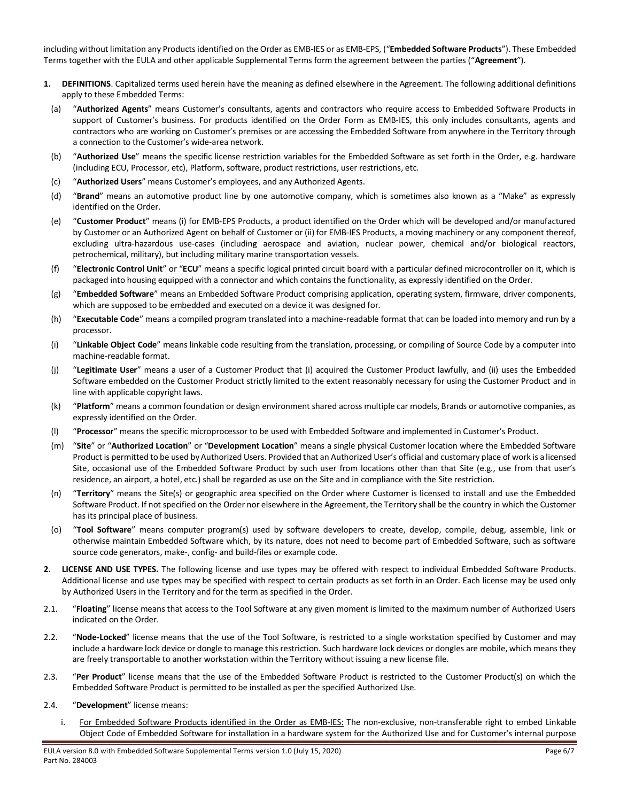including without limitation any Products identified on the Order as EMB-IES or as EMB-EPS, ("**Embedded Software Products**"). These Embedded Terms together with the EULA and other applicable Supplemental Terms form the agreement between the parties ("**Agreement**").

- **1. DEFINITIONS**. Capitalized terms used herein have the meaning as defined elsewhere in the Agreement. The following additional definitions apply to these Embedded Terms:
	- (a) "**Authorized Agents**" means Customer's consultants, agents and contractors who require access to Embedded Software Products in support of Customer's business. For products identified on the Order Form as EMB-IES, this only includes consultants, agents and contractors who are working on Customer's premises or are accessing the Embedded Software from anywhere in the Territory through a connection to the Customer's wide-area network.
	- (b) "**Authorized Use**" means the specific license restriction variables for the Embedded Software as set forth in the Order, e.g. hardware (including ECU, Processor, etc), Platform, software, product restrictions, user restrictions, etc.
	- (c) "**Authorized Users**" means Customer's employees, and any Authorized Agents.
	- (d) "**Brand**" means an automotive product line by one automotive company, which is sometimes also known as a "Make" as expressly identified on the Order.
	- (e) "**Customer Product**" means (i) for EMB-EPS Products, a product identified on the Order which will be developed and/or manufactured by Customer or an Authorized Agent on behalf of Customer or (ii) for EMB-IES Products, a moving machinery or any component thereof, excluding ultra-hazardous use-cases (including aerospace and aviation, nuclear power, chemical and/or biological reactors, petrochemical, military), but including military marine transportation vessels.
	- (f) "**Electronic Control Unit**" or "**ECU**" means a specific logical printed circuit board with a particular defined microcontroller on it, which is packaged into housing equipped with a connector and which contains the functionality, as expressly identified on the Order.
	- (g) "**Embedded Software**" means an Embedded Software Product comprising application, operating system, firmware, driver components, which are supposed to be embedded and executed on a device it was designed for.
	- (h) "**Executable Code**" means a compiled program translated into a machine-readable format that can be loaded into memory and run by a processor.
	- (i) "**Linkable Object Code**" means linkable code resulting from the translation, processing, or compiling of Source Code by a computer into machine-readable format.
	- (j) "**Legitimate User**" means a user of a Customer Product that (i) acquired the Customer Product lawfully, and (ii) uses the Embedded Software embedded on the Customer Product strictly limited to the extent reasonably necessary for using the Customer Product and in line with applicable copyright laws.
	- (k) "**Platform**" means a common foundation or design environment shared across multiple car models, Brands or automotive companies, as expressly identified on the Order.
	- (l) "**Processor**" means the specific microprocessor to be used with Embedded Software and implemented in Customer's Product.
	- (m) "**Site**" or "**Authorized Location**" or "**Development Location**" means a single physical Customer location where the Embedded Software Product is permitted to be used by Authorized Users. Provided that an Authorized User's official and customary place of work is a licensed Site, occasional use of the Embedded Software Product by such user from locations other than that Site (e.g., use from that user's residence, an airport, a hotel, etc.) shall be regarded as use on the Site and in compliance with the Site restriction.
	- (n) "**Territory**" means the Site(s) or geographic area specified on the Order where Customer is licensed to install and use the Embedded Software Product. If not specified on the Order nor elsewhere in the Agreement, the Territory shall be the country in which the Customer has its principal place of business.
	- (o) "**Tool Software**" means computer program(s) used by software developers to create, develop, compile, debug, assemble, link or otherwise maintain Embedded Software which, by its nature, does not need to become part of Embedded Software, such as software source code generators, make-, config- and build-files or example code.
- **2. LICENSE AND USE TYPES.** The following license and use types may be offered with respect to individual Embedded Software Products. Additional license and use types may be specified with respect to certain products as set forth in an Order. Each license may be used only by Authorized Users in the Territory and for the term as specified in the Order.
- 2.1. "**Floating**" license means that access to the Tool Software at any given moment is limited to the maximum number of Authorized Users indicated on the Order.
- 2.2. "**Node-Locked**" license means that the use of the Tool Software, is restricted to a single workstation specified by Customer and may include a hardware lock device or dongle to manage this restriction. Such hardware lock devices or dongles are mobile, which means they are freely transportable to another workstation within the Territory without issuing a new license file.
- 2.3. "**Per Product**" license means that the use of the Embedded Software Product is restricted to the Customer Product(s) on which the Embedded Software Product is permitted to be installed as per the specified Authorized Use.
- <span id="page-5-0"></span>2.4. "**Development**" license means:
	- i. For Embedded Software Products identified in the Order as EMB-IES: The non-exclusive, non-transferable right to embed Linkable Object Code of Embedded Software for installation in a hardware system for the Authorized Use and for Customer's internal purpose